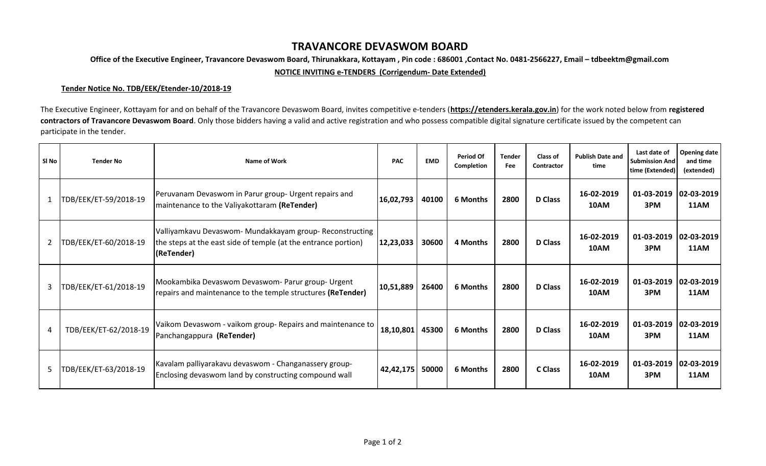## **TRAVANCORE DEVASWOM BOARD**

**Office of the Executive Engineer, Travancore Devaswom Board, Thirunakkara, Kottayam , Pin code : 686001 ,Contact No. 0481-2566227, Email – tdbeektm@gmail.com**

**NOTICE INVITING e-TENDERS (Corrigendum- Date Extended)**

## **Tender Notice No. TDB/EEK/Etender-10/2018-19**

The Executive Engineer, Kottayam for and on behalf of the Travancore Devaswom Board, invites competitive e-tenders (**https://etenders.kerala.gov.in**) for the work noted below from **registered**  contractors of Travancore Devaswom Board. Only those bidders having a valid and active registration and who possess compatible digital signature certificate issued by the competent can participate in the tender.

| SI No          | <b>Tender No</b>      | <b>Name of Work</b>                                                                                                                      | <b>PAC</b> | <b>EMD</b> | Period Of<br>Completion | <b>Tender</b><br>Fee | <b>Class of</b><br>Contractor | <b>Publish Date and</b><br>time | Last date of<br><b>Submission And</b><br>time (Extended) | Opening date<br>and time<br>(extended) |
|----------------|-----------------------|------------------------------------------------------------------------------------------------------------------------------------------|------------|------------|-------------------------|----------------------|-------------------------------|---------------------------------|----------------------------------------------------------|----------------------------------------|
| 1              | TDB/EEK/ET-59/2018-19 | Peruvanam Devaswom in Parur group- Urgent repairs and<br>maintenance to the Valiyakottaram (ReTender)                                    | 16,02,793  | 40100      | 6 Months                | 2800                 | <b>D</b> Class                | 16-02-2019<br>10AM              | 01-03-2019<br>3PM                                        | $ 02 - 03 - 2019 $<br>11AM             |
| $\overline{2}$ | TDB/EEK/ET-60/2018-19 | Valliyamkavu Devaswom- Mundakkayam group- Reconstructing<br>the steps at the east side of temple (at the entrance portion)<br>(ReTender) | 12,23,033  | 30600      | 4 Months                | 2800                 | <b>D</b> Class                | 16-02-2019<br>10AM              | 01-03-2019<br>3PM                                        | $ 02 - 03 - 2019 $<br>11AM             |
| 3              | TDB/EEK/ET-61/2018-19 | Mookambika Devaswom Devaswom- Parur group- Urgent<br>repairs and maintenance to the temple structures (ReTender)                         | 10,51,889  | 26400      | 6 Months                | 2800                 | <b>D</b> Class                | 16-02-2019<br>10AM              | 01-03-2019<br>3PM                                        | $ 02 - 03 - 2019 $<br><b>11AM</b>      |
| 4              | TDB/EEK/ET-62/2018-19 | Vaikom Devaswom - vaikom group- Repairs and maintenance to<br>Panchangappura (ReTender)                                                  | 18,10,801  | 45300      | 6 Months                | 2800                 | <b>D</b> Class                | 16-02-2019<br>10AM              | 01-03-2019<br>3PM                                        | $ 02 - 03 - 2019 $<br><b>11AM</b>      |
| 5              | TDB/EEK/ET-63/2018-19 | Kavalam palliyarakavu devaswom - Changanassery group-<br>Enclosing devaswom land by constructing compound wall                           | 42,42,175  | 50000      | <b>6 Months</b>         | 2800                 | C Class                       | 16-02-2019<br>10AM              | 01-03-2019<br>3PM                                        | $ 02 - 03 - 2019 $<br>11AM             |